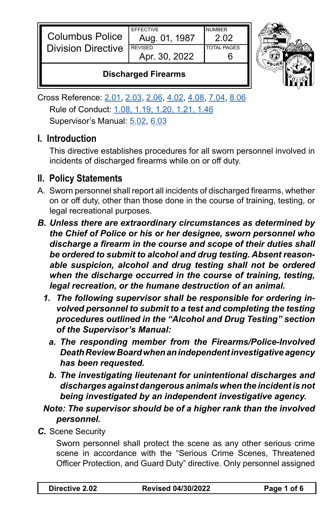| <b>Columbus Police</b>    | <b>FFFFCTIVE</b><br>Aug. 01, 1987 | <b>NUMBER</b>      |  |
|---------------------------|-----------------------------------|--------------------|--|
| <b>Division Directive</b> | <b>REVISED</b><br>Apr. 30, 2022   | <b>TOTAL PAGES</b> |  |
|                           |                                   |                    |  |



## **Discharged Firearms**

Cross Reference: [2.01](https://powerdms.com/link/CBUS/document/?id=1216712), [2.03](https://powerdms.com/link/CBUS/document/?id=1216714), [2.06](https://powerdms.com/link/CBUS/document/?id=1216718), [4.02](https://powerdms.com/link/CBUS/document/?id=1217367), [4.08](https://powerdms.com/link/CBUS/document/?id=1217373), [7.04](https://powerdms.com/link/CBUS/document/?id=1217753), [8.06](https://powerdms.com/link/CBUS/document/?id=1222528) Rule of Conduct: [1.08, 1.19, 1.20, 1.21, 1.46](https://powerdms.com/link/CBUS/document/?id=1216536) Supervisor's Manual: [5.02](https://powerdms.com/link/CBUS/document/?id=1223765), [6.03](https://powerdms.com/link/CBUS/document/?id=1223770)

## **I. Introduction**

This directive establishes procedures for all sworn personnel involved in incidents of discharged firearms while on or off duty.

## **II. Policy Statements**

- A. Sworn personnel shall report all incidents of discharged firearms, whether on or off duty, other than those done in the course of training, testing, or legal recreational purposes.
- *B. Unless there are extraordinary circumstances as determined by the Chief of Police or his or her designee, sworn personnel who discharge a firearm in the course and scope of their duties shall be ordered to submit to alcohol and drug testing. Absent reasonable suspicion, alcohol and drug testing shall not be ordered when the discharge occurred in the course of training, testing, legal recreation, or the humane destruction of an animal.* 
	- *1. The following supervisor shall be responsible for ordering involved personnel to submit to a test and completing the testing procedures outlined in the "Alcohol and Drug Testing" section of the Supervisor's Manual:*
		- *a. The responding member from the Firearms/Police-Involved Death Review Board when an independent investigative agency has been requested.*
		- *b. The investigating lieutenant for unintentional discharges and discharges against dangerous animals when the incident is not being investigated by an independent investigative agency.*

*Note: The supervisor should be of a higher rank than the involved personnel.*

*C.* Scene Security

Sworn personnel shall protect the scene as any other serious crime scene in accordance with the "Serious Crime Scenes, Threatened Officer Protection, and Guard Duty" directive. Only personnel assigned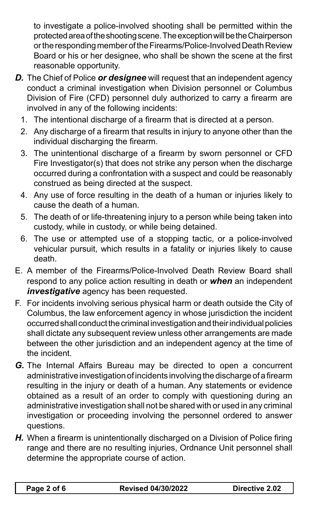to investigate a police-involved shooting shall be permitted within the protected area of the shooting scene. The exception will be the Chairperson or the responding member of the Firearms/Police-Involved Death Review Board or his or her designee, who shall be shown the scene at the first reasonable opportunity.

- *D.* The Chief of Police *or designee* will request that an independent agency conduct a criminal investigation when Division personnel or Columbus Division of Fire (CFD) personnel duly authorized to carry a firearm are involved in any of the following incidents:
	- 1. The intentional discharge of a firearm that is directed at a person.
	- 2. Any discharge of a firearm that results in injury to anyone other than the individual discharging the firearm.
	- 3. The unintentional discharge of a firearm by sworn personnel or CFD Fire Investigator(s) that does not strike any person when the discharge occurred during a confrontation with a suspect and could be reasonably construed as being directed at the suspect.
	- 4. Any use of force resulting in the death of a human or injuries likely to cause the death of a human.
	- 5. The death of or life-threatening injury to a person while being taken into custody, while in custody, or while being detained.
	- 6. The use or attempted use of a stopping tactic, or a police-involved vehicular pursuit, which results in a fatality or injuries likely to cause death.
- E. A member of the Firearms/Police-Involved Death Review Board shall respond to any police action resulting in death or *when* an independent *investigative* agency has been requested.
- F. For incidents involving serious physical harm or death outside the City of Columbus, the law enforcement agency in whose jurisdiction the incident occurred shall conduct the criminal investigation and their individual policies shall dictate any subsequent review unless other arrangements are made between the other jurisdiction and an independent agency at the time of the incident.
- *G.* The Internal Affairs Bureau may be directed to open a concurrent administrative investigation of incidents involving the discharge of a firearm resulting in the injury or death of a human. Any statements or evidence obtained as a result of an order to comply with questioning during an administrative investigation shall not be shared with or used in any criminal investigation or proceeding involving the personnel ordered to answer questions.
- *H.* When a firearm is unintentionally discharged on a Division of Police firing range and there are no resulting injuries, Ordnance Unit personnel shall determine the appropriate course of action.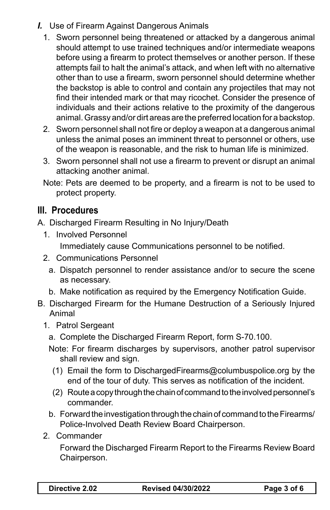- *I.* Use of Firearm Against Dangerous Animals
	- 1. Sworn personnel being threatened or attacked by a dangerous animal should attempt to use trained techniques and/or intermediate weapons before using a firearm to protect themselves or another person. If these attempts fail to halt the animal's attack, and when left with no alternative other than to use a firearm, sworn personnel should determine whether the backstop is able to control and contain any projectiles that may not find their intended mark or that may ricochet. Consider the presence of individuals and their actions relative to the proximity of the dangerous animal. Grassy and/or dirt areas are the preferred location for a backstop.
	- 2. Sworn personnel shall not fire or deploy a weapon at a dangerous animal unless the animal poses an imminent threat to personnel or others, use of the weapon is reasonable, and the risk to human life is minimized.
	- 3. Sworn personnel shall not use a firearm to prevent or disrupt an animal attacking another animal.
	- Note: Pets are deemed to be property, and a firearm is not to be used to protect property.

## **III. Procedures**

A. Discharged Firearm Resulting in No Injury/Death

1. Involved Personnel

Immediately cause Communications personnel to be notified.

- 2. Communications Personnel
	- a. Dispatch personnel to render assistance and/or to secure the scene as necessary.
	- b. Make notification as required by the Emergency Notification Guide.
- B. Discharged Firearm for the Humane Destruction of a Seriously Injured Animal
	- 1. Patrol Sergeant
		- a. Complete the Discharged Firearm Report, form S-70.100.
		- Note: For firearm discharges by supervisors, another patrol supervisor shall review and sign.
		- (1) Email the form to DischargedFirearms@columbuspolice.org by the end of the tour of duty. This serves as notification of the incident.
		- (2) Route a copy through the chain of command to the involved personnel's commander.
		- b. Forward the investigation through the chain of command to the Firearms/ Police-Involved Death Review Board Chairperson.
	- 2. Commander

Forward the Discharged Firearm Report to the Firearms Review Board Chairperson.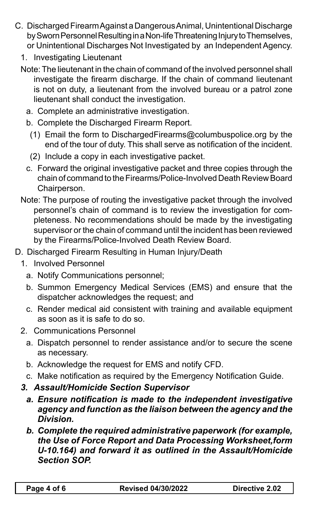- C. Discharged Firearm Against a Dangerous Animal, Unintentional Discharge by Sworn Personnel Resulting in a Non-life Threatening Injury to Themselves, or Unintentional Discharges Not Investigated by an Independent Agency.
	- 1. Investigating Lieutenant
	- Note: The lieutenant in the chain of command of the involved personnel shall investigate the firearm discharge. If the chain of command lieutenant is not on duty, a lieutenant from the involved bureau or a patrol zone lieutenant shall conduct the investigation.
		- a. Complete an administrative investigation.
		- b. Complete the Discharged Firearm Report.
		- (1) Email the form to DischargedFirearms@columbuspolice.org by the end of the tour of duty. This shall serve as notification of the incident.
		- (2) Include a copy in each investigative packet.
		- c. Forward the original investigative packet and three copies through the chain of command to the Firearms/Police-Involved Death Review Board Chairperson.
	- Note: The purpose of routing the investigative packet through the involved personnel's chain of command is to review the investigation for completeness. No recommendations should be made by the investigating supervisor or the chain of command until the incident has been reviewed by the Firearms/Police-Involved Death Review Board.
- D. Discharged Firearm Resulting in Human Injury/Death
	- 1. Involved Personnel
		- a. Notify Communications personnel;
		- b. Summon Emergency Medical Services (EMS) and ensure that the dispatcher acknowledges the request; and
		- c. Render medical aid consistent with training and available equipment as soon as it is safe to do so.
	- 2. Communications Personnel
		- a. Dispatch personnel to render assistance and/or to secure the scene as necessary.
		- b. Acknowledge the request for EMS and notify CFD.
		- c. Make notification as required by the Emergency Notification Guide.
	- *3. Assault/Homicide Section Supervisor*
		- *a. Ensure notification is made to the independent investigative agency and function as the liaison between the agency and the Division.*
		- *b. Complete the required administrative paperwork (for example, the Use of Force Report and Data Processing Worksheet,form U-10.164) and forward it as outlined in the Assault/Homicide Section SOP.*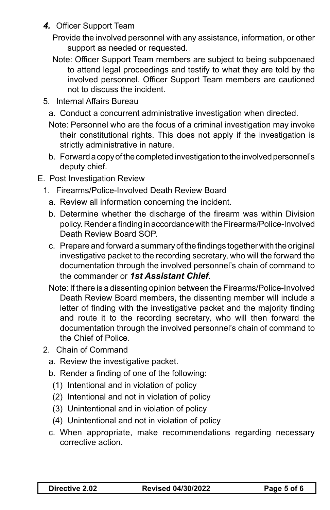- *4.* Officer Support Team
	- Provide the involved personnel with any assistance, information, or other support as needed or requested.
	- Note: Officer Support Team members are subject to being subpoenaed to attend legal proceedings and testify to what they are told by the involved personnel. Officer Support Team members are cautioned not to discuss the incident.
- 5. Internal Affairs Bureau
	- a. Conduct a concurrent administrative investigation when directed.
	- Note: Personnel who are the focus of a criminal investigation may invoke their constitutional rights. This does not apply if the investigation is strictly administrative in nature.
	- b. Forward a copy of the completed investigation to the involved personnel's deputy chief.
- E. Post Investigation Review
	- 1. Firearms/Police-Involved Death Review Board
		- a. Review all information concerning the incident.
		- b. Determine whether the discharge of the firearm was within Division policy. Render a finding in accordance with the Firearms/Police-Involved Death Review Board SOP.
		- c. Prepare and forward a summary of the findings together with the original investigative packet to the recording secretary, who will the forward the documentation through the involved personnel's chain of command to the commander or *1st Assistant Chief*.
		- Note: If there is a dissenting opinion between the Firearms/Police-Involved Death Review Board members, the dissenting member will include a letter of finding with the investigative packet and the majority finding and route it to the recording secretary, who will then forward the documentation through the involved personnel's chain of command to the Chief of Police.
	- 2. Chain of Command
		- a. Review the investigative packet.
		- b. Render a finding of one of the following:
			- (1) Intentional and in violation of policy
			- (2) Intentional and not in violation of policy
			- (3) Unintentional and in violation of policy
			- (4) Unintentional and not in violation of policy
		- c. When appropriate, make recommendations regarding necessary corrective action.